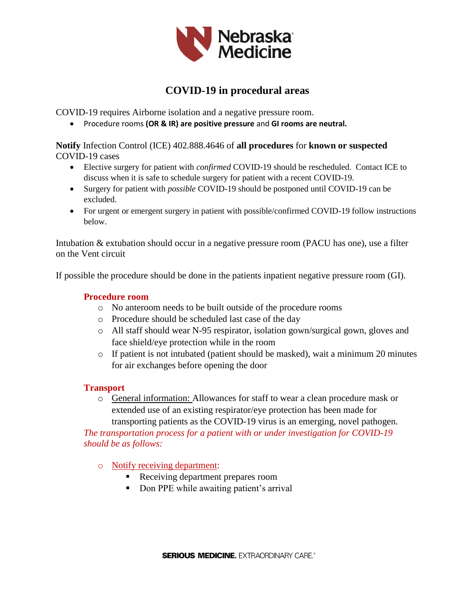

# **COVID-19 in procedural areas**

COVID-19 requires Airborne isolation and a negative pressure room.

Procedure rooms **(OR & IR) are positive pressure** and **GI rooms are neutral.** 

**Notify** Infection Control (ICE) 402.888.4646 of **all procedures** for **known or suspected** COVID-19 cases

- Elective surgery for patient with *confirmed* COVID-19 should be rescheduled. Contact ICE to discuss when it is safe to schedule surgery for patient with a recent COVID-19.
- Surgery for patient with *possible* COVID-19 should be postponed until COVID-19 can be excluded.
- For urgent or emergent surgery in patient with possible/confirmed COVID-19 follow instructions below.

Intubation & extubation should occur in a negative pressure room (PACU has one), use a filter on the Vent circuit

If possible the procedure should be done in the patients inpatient negative pressure room (GI).

## **Procedure room**

- o No anteroom needs to be built outside of the procedure rooms
- o Procedure should be scheduled last case of the day
- o All staff should wear N-95 respirator, isolation gown/surgical gown, gloves and face shield/eye protection while in the room
- o If patient is not intubated (patient should be masked), wait a minimum 20 minutes for air exchanges before opening the door

## **Transport**

o General information: Allowances for staff to wear a clean procedure mask or extended use of an existing respirator/eye protection has been made for transporting patients as the COVID-19 virus is an emerging, novel pathogen.

*The transportation process for a patient with or under investigation for COVID-19 should be as follows:*

- o Notify receiving department:
	- Receiving department prepares room
	- Don PPE while awaiting patient's arrival

**SERIOUS MEDICINE. EXTRAORDINARY CARE.®**